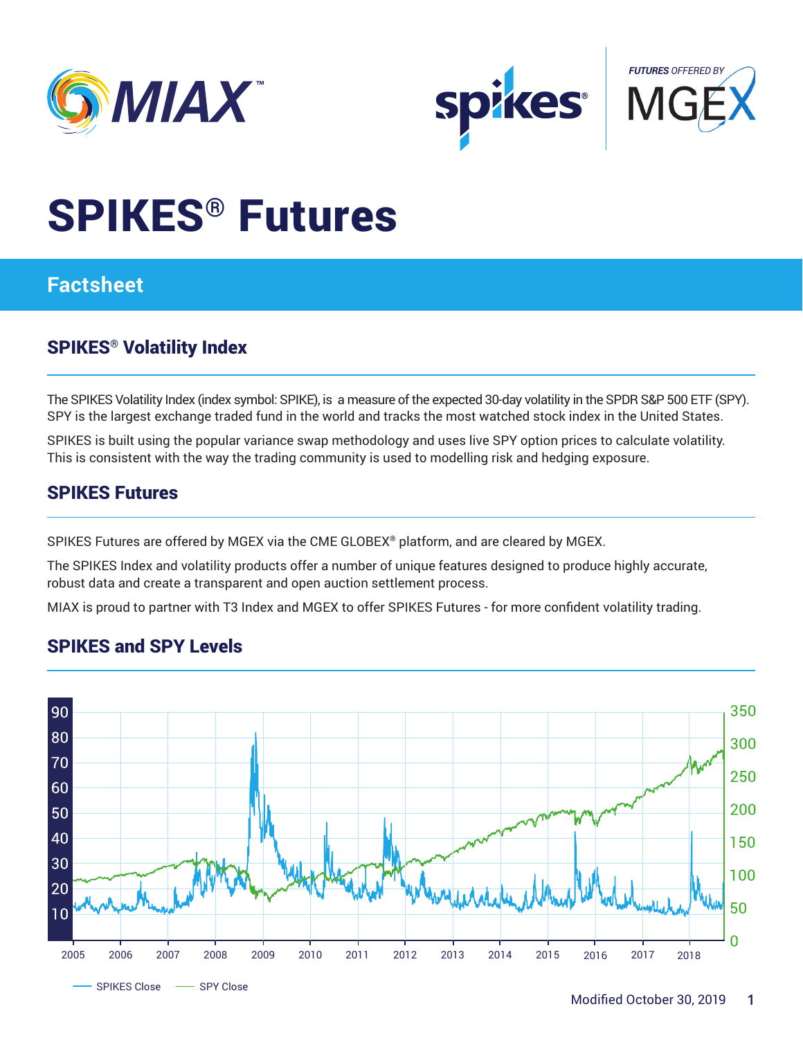





# SPIKES® Futures

## **Factsheet**

## SPIKES® Volatility Index

The SPIKES Volatility Index (index symbol: SPIKE), is a measure of the expected 30-day volatility in the SPDR S&P 500 ETF (SPY). SPY is the largest exchange traded fund in the world and tracks the most watched stock index in the United States.

SPIKES is built using the popular variance swap methodology and uses live SPY option prices to calculate volatility. This is consistent with the way the trading community is used to modelling risk and hedging exposure.

### SPIKES Futures

SPIKES Futures are offered by MGEX via the CME GLOBEX® platform, and are cleared by MGEX.

The SPIKES Index and volatility products offer a number of unique features designed to produce highly accurate, robust data and create a transparent and open auction settlement process.

MIAX is proud to partner with T3 Index and MGEX to offer SPIKES Futures - for more confident volatility trading.

## SPIKES and SPY Levels

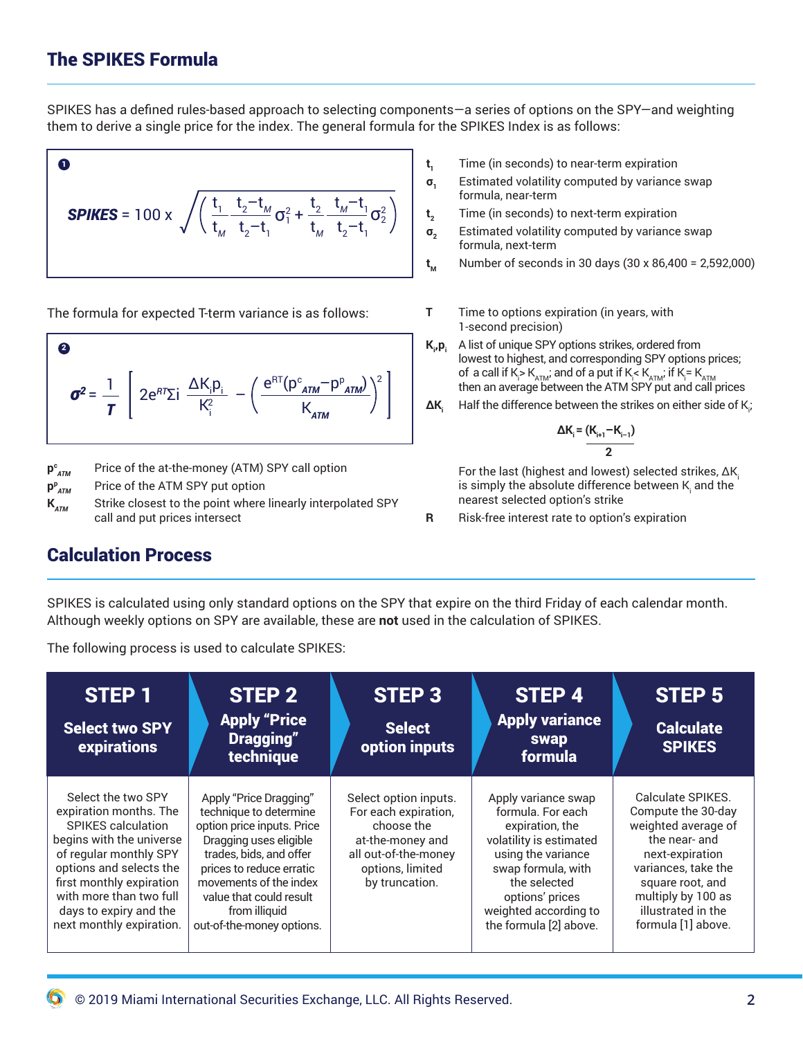## The SPIKES Formula

SPIKES has a defined rules-based approach to selecting components—a series of options on the SPY—and weighting them to derive a single price for the index. The general formula for the SPIKES Index is as follows:

**SPIKES** = 100 x 
$$
\sqrt{\left(\frac{t_1}{t_M} \frac{t_2 - t_M}{t_2 - t_1} \sigma_1^2 + \frac{t_2}{t_M} \frac{t_M - t_1}{t_2 - t_1} \sigma_2^2\right)}
$$

The formula for expected T-term variance is as follows:

$$
\boldsymbol{\sigma}^2 = \frac{1}{T} \left[ 2e^{RT} \Sigma i \frac{\Delta K_i p_i}{K_i^2} - \left( \frac{e^{RT} (p^c_{ATM} - p^p_{ATM})}{K_{ATM}} \right)^2 \right]
$$

 $p_{ATM}^c$ Price of the at-the-money (ATM) SPY call option

 $P_{ATM}^{p}$ **Price of the ATM SPY put option** 

**K**<sub>ATM</sub> Strike closest to the point where linearly interpolated SPY call and put prices intersect

- **t<sup>1</sup>** Time (in seconds) to near-term expiration
- **σ<sup>1</sup>** Estimated volatility computed by variance swap formula, near-term
- **t**<sub>2</sub> Time (in seconds) to next-term expiration
- **σ<sup>2</sup>** Estimated volatility computed by variance swap formula, next-term
- **t**<sub>M</sub> Number of seconds in 30 days (30 x 86,400 = 2,592,000)
- **T** Time to options expiration (in years, with 1-second precision)
- $K_i$ ,  $p_i$ A list of unique SPY options strikes, ordered from lowest to highest, and corresponding SPY options prices; of  $\,$  a call if K $>$ K $_{\rm ATM}$ ; and of a put if K $_{\rm i}$ < K $_{\rm ATM}$ , if K $=$  K $_{\rm ATM}$ then an average between the ATM SPY put and call prices
- **∆K**, Half the difference between the strikes on either side of K<sub>i</sub>;

$$
\Delta K_{i} = \frac{(K_{i+1} - K_{i-1})}{2}
$$

For the last (highest and lowest) selected strikes, ∆K<sup>i</sup> is simply the absolute difference between K $_{\shortmid}$  and the nearest selected option's strike

**R** Risk-free interest rate to option's expiration

#### Calculation Process

SPIKES is calculated using only standard options on the SPY that expire on the third Friday of each calendar month. Although weekly options on SPY are available, these are **not** used in the calculation of SPIKES.

The following process is used to calculate SPIKES:

| <b>STEP 1</b><br><b>Select two SPY</b><br>expirations                                                                                                                                                                                                                   | STEP <sub>2</sub><br><b>Apply "Price</b><br><b>Dragging"</b><br>technique                                                                                                                                                                                          | STEP <sub>3</sub><br><b>Select</b><br>option inputs                                                                                           | STEP 4<br><b>Apply variance</b><br><b>swap</b><br>formula                                                                                                                                                                | <b>STEP 5</b><br><b>Calculate</b><br><b>SPIKES</b>                                                                                                                                                              |
|-------------------------------------------------------------------------------------------------------------------------------------------------------------------------------------------------------------------------------------------------------------------------|--------------------------------------------------------------------------------------------------------------------------------------------------------------------------------------------------------------------------------------------------------------------|-----------------------------------------------------------------------------------------------------------------------------------------------|--------------------------------------------------------------------------------------------------------------------------------------------------------------------------------------------------------------------------|-----------------------------------------------------------------------------------------------------------------------------------------------------------------------------------------------------------------|
| Select the two SPY<br>expiration months. The<br><b>SPIKES</b> calculation<br>begins with the universe<br>of regular monthly SPY<br>options and selects the<br>first monthly expiration<br>with more than two full<br>days to expiry and the<br>next monthly expiration. | Apply "Price Dragging"<br>technique to determine<br>option price inputs. Price<br>Dragging uses eligible<br>trades, bids, and offer<br>prices to reduce erratic<br>movements of the index<br>value that could result<br>from illiquid<br>out-of-the-money options. | Select option inputs.<br>For each expiration,<br>choose the<br>at-the-money and<br>all out-of-the-money<br>options, limited<br>by truncation. | Apply variance swap<br>formula. For each<br>expiration, the<br>volatility is estimated<br>using the variance<br>swap formula, with<br>the selected<br>options' prices<br>weighted according to<br>the formula [2] above. | Calculate SPIKES.<br>Compute the 30-day<br>weighted average of<br>the near- and<br>next-expiration<br>variances, take the<br>square root, and<br>multiply by 100 as<br>illustrated in the<br>formula [1] above. |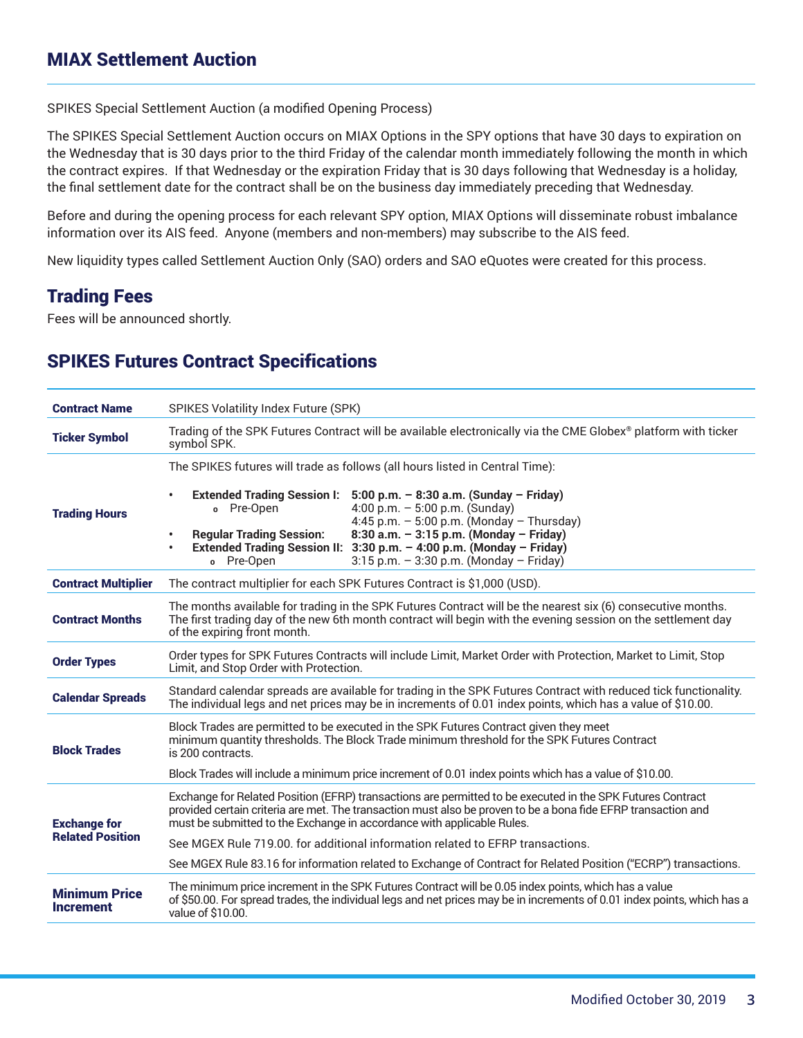SPIKES Special Settlement Auction (a modified Opening Process)

The SPIKES Special Settlement Auction occurs on MIAX Options in the SPY options that have 30 days to expiration on the Wednesday that is 30 days prior to the third Friday of the calendar month immediately following the month in which the contract expires. If that Wednesday or the expiration Friday that is 30 days following that Wednesday is a holiday, the final settlement date for the contract shall be on the business day immediately preceding that Wednesday.

Before and during the opening process for each relevant SPY option, MIAX Options will disseminate robust imbalance information over its AIS feed. Anyone (members and non-members) may subscribe to the AIS feed.

New liquidity types called Settlement Auction Only (SAO) orders and SAO eQuotes were created for this process.

### Trading Fees

Fees will be announced shortly.

### SPIKES Futures Contract Speci**f**ications

| <b>Contract Name</b>                           | SPIKES Volatility Index Future (SPK)                                                                                                                                                                                                                                                                                                                                                                                                                                                              |  |  |  |
|------------------------------------------------|---------------------------------------------------------------------------------------------------------------------------------------------------------------------------------------------------------------------------------------------------------------------------------------------------------------------------------------------------------------------------------------------------------------------------------------------------------------------------------------------------|--|--|--|
| <b>Ticker Symbol</b>                           | Trading of the SPK Futures Contract will be available electronically via the CME Globex® platform with ticker<br>symbol SPK.                                                                                                                                                                                                                                                                                                                                                                      |  |  |  |
| <b>Trading Hours</b>                           | The SPIKES futures will trade as follows (all hours listed in Central Time):<br>Extended Trading Session I: 5:00 p.m. - 8:30 a.m. (Sunday - Friday)<br>4:00 p.m. $-5:00$ p.m. (Sunday)<br>o Pre-Open<br>4:45 p.m. $-5:00$ p.m. (Monday $-$ Thursday)<br>8:30 a.m. - 3:15 p.m. (Monday - Friday)<br><b>Regular Trading Session:</b><br>$\bullet$<br>Extended Trading Session II: 3:30 p.m. - 4:00 p.m. (Monday - Friday)<br>$\bullet$<br>o Pre-Open<br>$3:15$ p.m. - $3:30$ p.m. (Monday - Friday) |  |  |  |
| <b>Contract Multiplier</b>                     | The contract multiplier for each SPK Futures Contract is \$1,000 (USD).                                                                                                                                                                                                                                                                                                                                                                                                                           |  |  |  |
| <b>Contract Months</b>                         | The months available for trading in the SPK Futures Contract will be the nearest six (6) consecutive months.<br>The first trading day of the new 6th month contract will begin with the evening session on the settlement day<br>of the expiring front month.                                                                                                                                                                                                                                     |  |  |  |
| <b>Order Types</b>                             | Order types for SPK Futures Contracts will include Limit, Market Order with Protection, Market to Limit, Stop<br>Limit, and Stop Order with Protection.                                                                                                                                                                                                                                                                                                                                           |  |  |  |
| <b>Calendar Spreads</b>                        | Standard calendar spreads are available for trading in the SPK Futures Contract with reduced tick functionality.<br>The individual legs and net prices may be in increments of 0.01 index points, which has a value of \$10.00.                                                                                                                                                                                                                                                                   |  |  |  |
| <b>Block Trades</b>                            | Block Trades are permitted to be executed in the SPK Futures Contract given they meet<br>minimum quantity thresholds. The Block Trade minimum threshold for the SPK Futures Contract<br>is 200 contracts.                                                                                                                                                                                                                                                                                         |  |  |  |
|                                                | Block Trades will include a minimum price increment of 0.01 index points which has a value of \$10.00.                                                                                                                                                                                                                                                                                                                                                                                            |  |  |  |
| <b>Exchange for</b><br><b>Related Position</b> | Exchange for Related Position (EFRP) transactions are permitted to be executed in the SPK Futures Contract<br>provided certain criteria are met. The transaction must also be proven to be a bona fide EFRP transaction and<br>must be submitted to the Exchange in accordance with applicable Rules.                                                                                                                                                                                             |  |  |  |
|                                                | See MGEX Rule 719.00, for additional information related to EFRP transactions.                                                                                                                                                                                                                                                                                                                                                                                                                    |  |  |  |
|                                                | See MGEX Rule 83.16 for information related to Exchange of Contract for Related Position ("ECRP") transactions.                                                                                                                                                                                                                                                                                                                                                                                   |  |  |  |
| <b>Minimum Price</b><br><b>Increment</b>       | The minimum price increment in the SPK Futures Contract will be 0.05 index points, which has a value<br>of \$50.00. For spread trades, the individual legs and net prices may be in increments of 0.01 index points, which has a<br>value of \$10.00.                                                                                                                                                                                                                                             |  |  |  |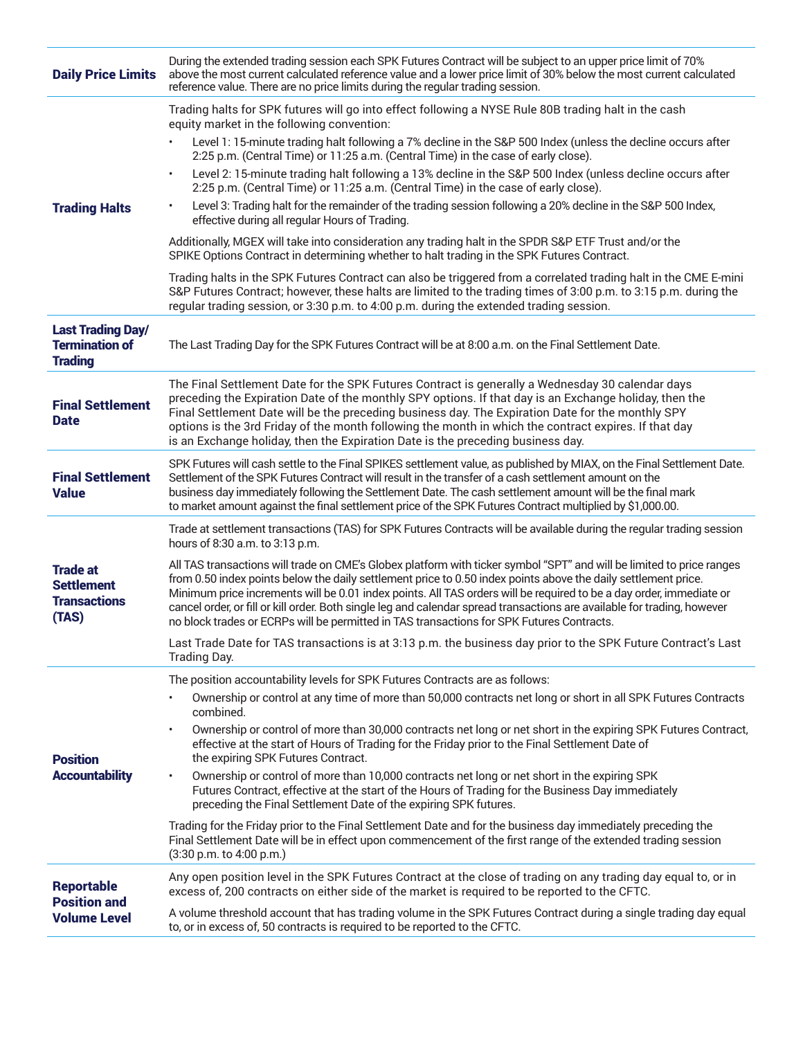| <b>Daily Price Limits</b>                                            | During the extended trading session each SPK Futures Contract will be subject to an upper price limit of 70%<br>above the most current calculated reference value and a lower price limit of 30% below the most current calculated<br>reference value. There are no price limits during the regular trading session.                                                                                                                                                                                                                                                                                                                                                                                                                                                                                                                                                                                                                                                                                                                                                                                                                                                                                                                                                    |  |  |
|----------------------------------------------------------------------|-------------------------------------------------------------------------------------------------------------------------------------------------------------------------------------------------------------------------------------------------------------------------------------------------------------------------------------------------------------------------------------------------------------------------------------------------------------------------------------------------------------------------------------------------------------------------------------------------------------------------------------------------------------------------------------------------------------------------------------------------------------------------------------------------------------------------------------------------------------------------------------------------------------------------------------------------------------------------------------------------------------------------------------------------------------------------------------------------------------------------------------------------------------------------------------------------------------------------------------------------------------------------|--|--|
| <b>Trading Halts</b>                                                 | Trading halts for SPK futures will go into effect following a NYSE Rule 80B trading halt in the cash<br>equity market in the following convention:<br>Level 1: 15-minute trading halt following a 7% decline in the S&P 500 Index (unless the decline occurs after<br>2:25 p.m. (Central Time) or 11:25 a.m. (Central Time) in the case of early close).<br>Level 2: 15-minute trading halt following a 13% decline in the S&P 500 Index (unless decline occurs after<br>2:25 p.m. (Central Time) or 11:25 a.m. (Central Time) in the case of early close).<br>Level 3: Trading halt for the remainder of the trading session following a 20% decline in the S&P 500 Index,<br>effective during all regular Hours of Trading.<br>Additionally, MGEX will take into consideration any trading halt in the SPDR S&P ETF Trust and/or the<br>SPIKE Options Contract in determining whether to halt trading in the SPK Futures Contract.<br>Trading halts in the SPK Futures Contract can also be triggered from a correlated trading halt in the CME E-mini<br>S&P Futures Contract; however, these halts are limited to the trading times of 3:00 p.m. to 3:15 p.m. during the<br>regular trading session, or 3:30 p.m. to 4:00 p.m. during the extended trading session. |  |  |
| <b>Last Trading Day/</b><br><b>Termination of</b><br><b>Trading</b>  | The Last Trading Day for the SPK Futures Contract will be at 8:00 a.m. on the Final Settlement Date.                                                                                                                                                                                                                                                                                                                                                                                                                                                                                                                                                                                                                                                                                                                                                                                                                                                                                                                                                                                                                                                                                                                                                                    |  |  |
| <b>Final Settlement</b><br><b>Date</b>                               | The Final Settlement Date for the SPK Futures Contract is generally a Wednesday 30 calendar days<br>preceding the Expiration Date of the monthly SPY options. If that day is an Exchange holiday, then the<br>Final Settlement Date will be the preceding business day. The Expiration Date for the monthly SPY<br>options is the 3rd Friday of the month following the month in which the contract expires. If that day<br>is an Exchange holiday, then the Expiration Date is the preceding business day.                                                                                                                                                                                                                                                                                                                                                                                                                                                                                                                                                                                                                                                                                                                                                             |  |  |
| <b>Final Settlement</b><br><b>Value</b>                              | SPK Futures will cash settle to the Final SPIKES settlement value, as published by MIAX, on the Final Settlement Date.<br>Settlement of the SPK Futures Contract will result in the transfer of a cash settlement amount on the<br>business day immediately following the Settlement Date. The cash settlement amount will be the final mark<br>to market amount against the final settlement price of the SPK Futures Contract multiplied by \$1,000.00.                                                                                                                                                                                                                                                                                                                                                                                                                                                                                                                                                                                                                                                                                                                                                                                                               |  |  |
| <b>Trade at</b><br><b>Settlement</b><br><b>Transactions</b><br>(TAS) | Trade at settlement transactions (TAS) for SPK Futures Contracts will be available during the regular trading session<br>hours of 8:30 a.m. to 3:13 p.m.<br>All TAS transactions will trade on CME's Globex platform with ticker symbol "SPT" and will be limited to price ranges<br>from 0.50 index points below the daily settlement price to 0.50 index points above the daily settlement price.<br>Minimum price increments will be 0.01 index points. All TAS orders will be required to be a day order, immediate or<br>cancel order, or fill or kill order. Both single leg and calendar spread transactions are available for trading, however<br>no block trades or ECRPs will be permitted in TAS transactions for SPK Futures Contracts.<br>Last Trade Date for TAS transactions is at 3:13 p.m. the business day prior to the SPK Future Contract's Last<br>Trading Day.                                                                                                                                                                                                                                                                                                                                                                                    |  |  |
| <b>Position</b><br><b>Accountability</b>                             | The position accountability levels for SPK Futures Contracts are as follows:<br>Ownership or control at any time of more than 50,000 contracts net long or short in all SPK Futures Contracts<br>combined.<br>Ownership or control of more than 30,000 contracts net long or net short in the expiring SPK Futures Contract,<br>effective at the start of Hours of Trading for the Friday prior to the Final Settlement Date of<br>the expiring SPK Futures Contract.<br>Ownership or control of more than 10,000 contracts net long or net short in the expiring SPK<br>Futures Contract, effective at the start of the Hours of Trading for the Business Day immediately<br>preceding the Final Settlement Date of the expiring SPK futures.<br>Trading for the Friday prior to the Final Settlement Date and for the business day immediately preceding the<br>Final Settlement Date will be in effect upon commencement of the first range of the extended trading session<br>(3:30 p.m. to 4:00 p.m.)                                                                                                                                                                                                                                                              |  |  |
| <b>Reportable</b><br><b>Position and</b><br><b>Volume Level</b>      | Any open position level in the SPK Futures Contract at the close of trading on any trading day equal to, or in<br>excess of, 200 contracts on either side of the market is required to be reported to the CFTC.<br>A volume threshold account that has trading volume in the SPK Futures Contract during a single trading day equal<br>to, or in excess of, 50 contracts is required to be reported to the CFTC.                                                                                                                                                                                                                                                                                                                                                                                                                                                                                                                                                                                                                                                                                                                                                                                                                                                        |  |  |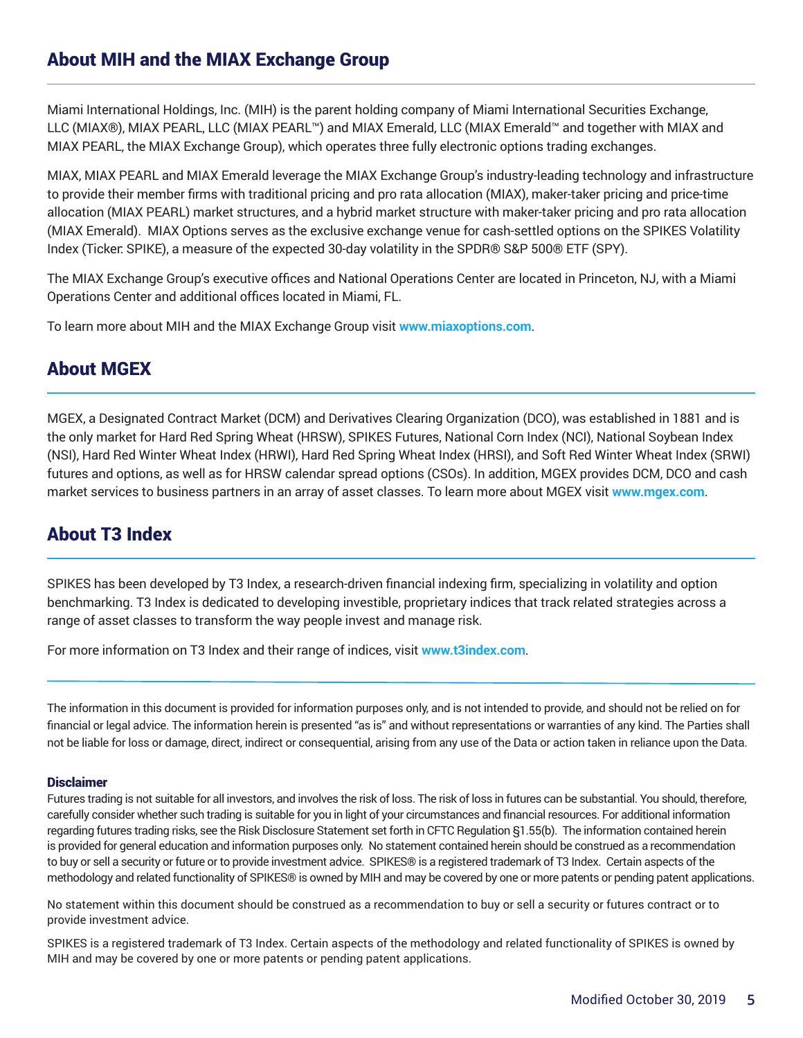Miami International Holdings, Inc. (MIH) is the parent holding company of Miami International Securities Exchange, LLC (MIAX®), MIAX PEARL, LLC (MIAX PEARL™) and MIAX Emerald, LLC (MIAX Emerald™ and together with MIAX and MIAX PEARL, the MIAX Exchange Group), which operates three fully electronic options trading exchanges.

MIAX, MIAX PEARL and MIAX Emerald leverage the MIAX Exchange Group's industry-leading technology and infrastructure to provide their member firms with traditional pricing and pro rata allocation (MIAX), maker-taker pricing and price-time allocation (MIAX PEARL) market structures, and a hybrid market structure with maker-taker pricing and pro rata allocation (MIAX Emerald). MIAX Options serves as the exclusive exchange venue for cash-settled options on the SPIKES Volatility Index (Ticker: SPIKE), a measure of the expected 30-day volatility in the SPDR® S&P 500® ETF (SPY).

The MIAX Exchange Group's executive offices and National Operations Center are located in Princeton, NJ, with a Miami Operations Center and additional offices located in Miami, FL.

To learn more about MIH and the MIAX Exchange Group visit **[www.miaxoptions.com](http://www.miaxoptions.com)**.

## About MGEX

MGEX, a Designated Contract Market (DCM) and Derivatives Clearing Organization (DCO), was established in 1881 and is the only market for Hard Red Spring Wheat (HRSW), SPIKES Futures, National Corn Index (NCI), National Soybean Index (NSI), Hard Red Winter Wheat Index (HRWI), Hard Red Spring Wheat Index (HRSI), and Soft Red Winter Wheat Index (SRWI) futures and options, as well as for HRSW calendar spread options (CSOs). In addition, MGEX provides DCM, DCO and cash market services to business partners in an array of asset classes. To learn more about MGEX visit **[www.mgex.com](http://www.mgex.com)**.

## About T3 Index

SPIKES has been developed by T3 Index, a research-driven financial indexing firm, specializing in volatility and option benchmarking. T3 Index is dedicated to developing investible, proprietary indices that track related strategies across a range of asset classes to transform the way people invest and manage risk.

For more information on T3 Index and their range of indices, visit **[www.t3index.com](http://www.t3index.com)**.

The information in this document is provided for information purposes only, and is not intended to provide, and should not be relied on for financial or legal advice. The information herein is presented "as is" and without representations or warranties of any kind. The Parties shall not be liable for loss or damage, direct, indirect or consequential, arising from any use of the Data or action taken in reliance upon the Data.

#### **Disclaimer**

Futures trading is not suitable for all investors, and involves the risk of loss. The risk of loss in futures can be substantial. You should, therefore, carefully consider whether such trading is suitable for you in light of your circumstances and financial resources. For additional information regarding futures trading risks, see the Risk Disclosure Statement set forth in CFTC Regulation §1.55(b). The information contained herein is provided for general education and information purposes only. No statement contained herein should be construed as a recommendation to buy or sell a security or future or to provide investment advice. SPIKES® is a registered trademark of T3 Index. Certain aspects of the methodology and related functionality of SPIKES® is owned by MIH and may be covered by one or more patents or pending patent applications.

No statement within this document should be construed as a recommendation to buy or sell a security or futures contract or to provide investment advice.

SPIKES is a registered trademark of T3 Index. Certain aspects of the methodology and related functionality of SPIKES is owned by MIH and may be covered by one or more patents or pending patent applications.